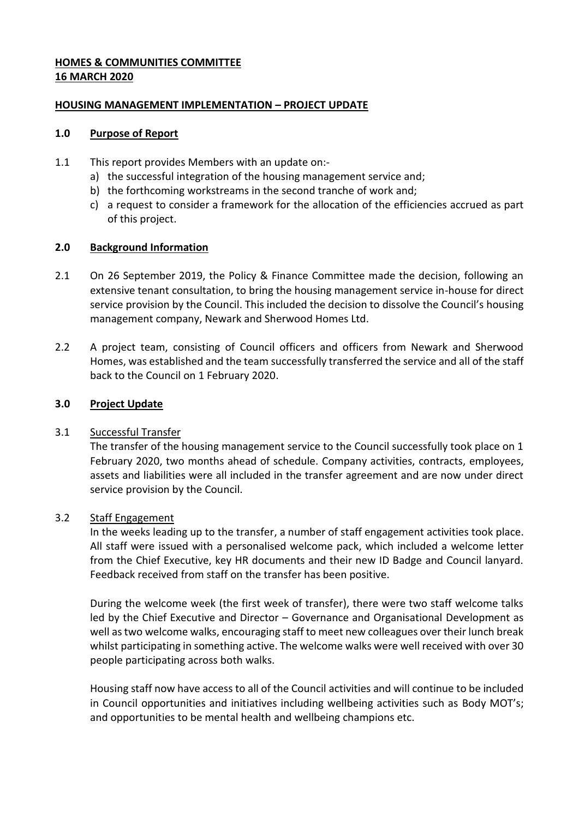## **HOMES & COMMUNITIES COMMITTEE 16 MARCH 2020**

## **HOUSING MANAGEMENT IMPLEMENTATION – PROJECT UPDATE**

### **1.0 Purpose of Report**

- 1.1 This report provides Members with an update on:
	- a) the successful integration of the housing management service and;
	- b) the forthcoming workstreams in the second tranche of work and;
	- c) a request to consider a framework for the allocation of the efficiencies accrued as part of this project.

### **2.0 Background Information**

- 2.1 On 26 September 2019, the Policy & Finance Committee made the decision, following an extensive tenant consultation, to bring the housing management service in-house for direct service provision by the Council. This included the decision to dissolve the Council's housing management company, Newark and Sherwood Homes Ltd.
- 2.2 A project team, consisting of Council officers and officers from Newark and Sherwood Homes, was established and the team successfully transferred the service and all of the staff back to the Council on 1 February 2020.

## **3.0 Project Update**

# 3.1 Successful Transfer

The transfer of the housing management service to the Council successfully took place on 1 February 2020, two months ahead of schedule. Company activities, contracts, employees, assets and liabilities were all included in the transfer agreement and are now under direct service provision by the Council.

# 3.2 Staff Engagement

In the weeks leading up to the transfer, a number of staff engagement activities took place. All staff were issued with a personalised welcome pack, which included a welcome letter from the Chief Executive, key HR documents and their new ID Badge and Council lanyard. Feedback received from staff on the transfer has been positive.

During the welcome week (the first week of transfer), there were two staff welcome talks led by the Chief Executive and Director – Governance and Organisational Development as well as two welcome walks, encouraging staff to meet new colleagues over their lunch break whilst participating in something active. The welcome walks were well received with over 30 people participating across both walks.

Housing staff now have access to all of the Council activities and will continue to be included in Council opportunities and initiatives including wellbeing activities such as Body MOT's; and opportunities to be mental health and wellbeing champions etc.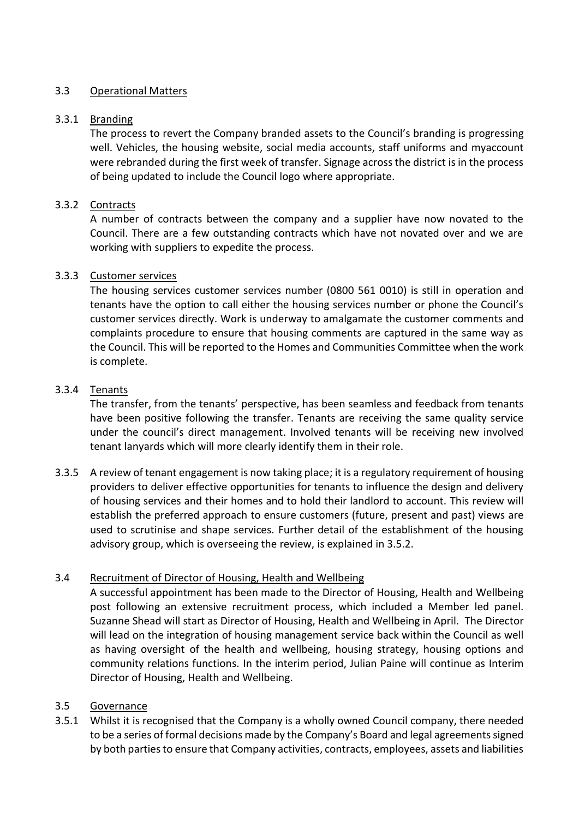## 3.3 Operational Matters

### 3.3.1 Branding

The process to revert the Company branded assets to the Council's branding is progressing well. Vehicles, the housing website, social media accounts, staff uniforms and myaccount were rebranded during the first week of transfer. Signage across the district is in the process of being updated to include the Council logo where appropriate.

### 3.3.2 Contracts

A number of contracts between the company and a supplier have now novated to the Council. There are a few outstanding contracts which have not novated over and we are working with suppliers to expedite the process.

### 3.3.3 Customer services

The housing services customer services number (0800 561 0010) is still in operation and tenants have the option to call either the housing services number or phone the Council's customer services directly. Work is underway to amalgamate the customer comments and complaints procedure to ensure that housing comments are captured in the same way as the Council. This will be reported to the Homes and Communities Committee when the work is complete.

### 3.3.4 Tenants

The transfer, from the tenants' perspective, has been seamless and feedback from tenants have been positive following the transfer. Tenants are receiving the same quality service under the council's direct management. Involved tenants will be receiving new involved tenant lanyards which will more clearly identify them in their role.

3.3.5 A review of tenant engagement is now taking place; it is a regulatory requirement of housing providers to deliver effective opportunities for tenants to influence the design and delivery of housing services and their homes and to hold their landlord to account. This review will establish the preferred approach to ensure customers (future, present and past) views are used to scrutinise and shape services. Further detail of the establishment of the housing advisory group, which is overseeing the review, is explained in 3.5.2.

# 3.4 Recruitment of Director of Housing, Health and Wellbeing

A successful appointment has been made to the Director of Housing, Health and Wellbeing post following an extensive recruitment process, which included a Member led panel. Suzanne Shead will start as Director of Housing, Health and Wellbeing in April. The Director will lead on the integration of housing management service back within the Council as well as having oversight of the health and wellbeing, housing strategy, housing options and community relations functions. In the interim period, Julian Paine will continue as Interim Director of Housing, Health and Wellbeing.

### 3.5 Governance

3.5.1 Whilst it is recognised that the Company is a wholly owned Council company, there needed to be a series of formal decisions made by the Company's Board and legal agreements signed by both parties to ensure that Company activities, contracts, employees, assets and liabilities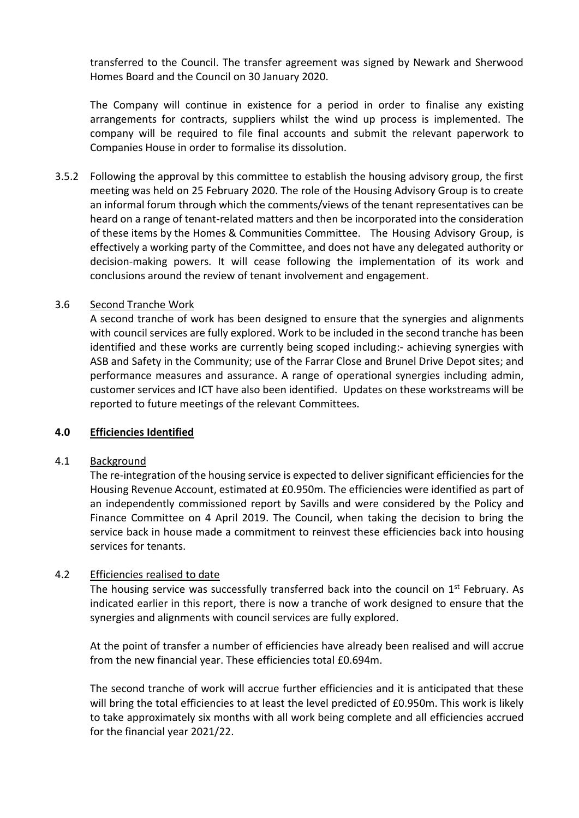transferred to the Council. The transfer agreement was signed by Newark and Sherwood Homes Board and the Council on 30 January 2020.

The Company will continue in existence for a period in order to finalise any existing arrangements for contracts, suppliers whilst the wind up process is implemented. The company will be required to file final accounts and submit the relevant paperwork to Companies House in order to formalise its dissolution.

3.5.2 Following the approval by this committee to establish the housing advisory group, the first meeting was held on 25 February 2020. The role of the Housing Advisory Group is to create an informal forum through which the comments/views of the tenant representatives can be heard on a range of tenant-related matters and then be incorporated into the consideration of these items by the Homes & Communities Committee. The Housing Advisory Group, is effectively a working party of the Committee, and does not have any delegated authority or decision-making powers. It will cease following the implementation of its work and conclusions around the review of tenant involvement and engagement.

#### 3.6 Second Tranche Work

A second tranche of work has been designed to ensure that the synergies and alignments with council services are fully explored. Work to be included in the second tranche has been identified and these works are currently being scoped including:- achieving synergies with ASB and Safety in the Community; use of the Farrar Close and Brunel Drive Depot sites; and performance measures and assurance. A range of operational synergies including admin, customer services and ICT have also been identified. Updates on these workstreams will be reported to future meetings of the relevant Committees.

#### **4.0 Efficiencies Identified**

#### 4.1 Background

The re-integration of the housing service is expected to deliver significant efficiencies for the Housing Revenue Account, estimated at £0.950m. The efficiencies were identified as part of an independently commissioned report by Savills and were considered by the Policy and Finance Committee on 4 April 2019. The Council, when taking the decision to bring the service back in house made a commitment to reinvest these efficiencies back into housing services for tenants.

#### 4.2 Efficiencies realised to date

The housing service was successfully transferred back into the council on  $1<sup>st</sup>$  February. As indicated earlier in this report, there is now a tranche of work designed to ensure that the synergies and alignments with council services are fully explored.

At the point of transfer a number of efficiencies have already been realised and will accrue from the new financial year. These efficiencies total £0.694m.

The second tranche of work will accrue further efficiencies and it is anticipated that these will bring the total efficiencies to at least the level predicted of £0.950m. This work is likely to take approximately six months with all work being complete and all efficiencies accrued for the financial year 2021/22.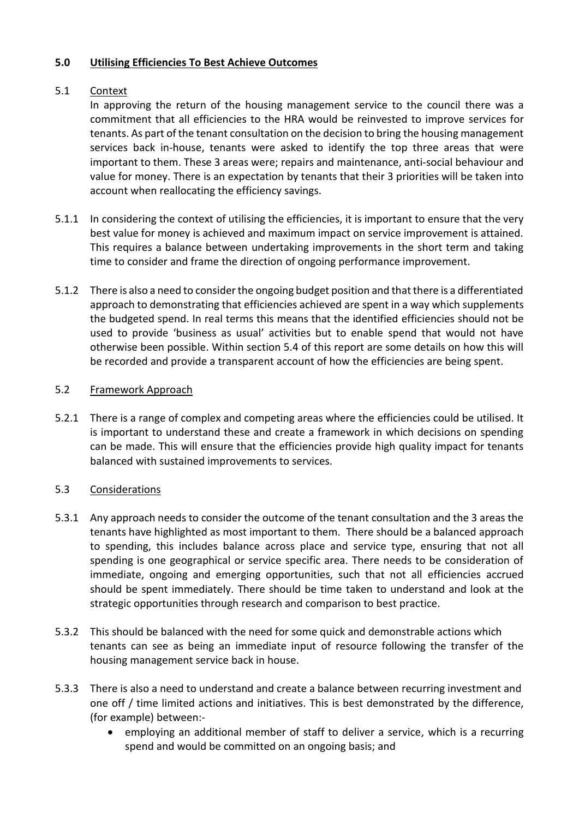## **5.0 Utilising Efficiencies To Best Achieve Outcomes**

### 5.1 Context

In approving the return of the housing management service to the council there was a commitment that all efficiencies to the HRA would be reinvested to improve services for tenants. As part of the tenant consultation on the decision to bring the housing management services back in-house, tenants were asked to identify the top three areas that were important to them. These 3 areas were; repairs and maintenance, anti-social behaviour and value for money. There is an expectation by tenants that their 3 priorities will be taken into account when reallocating the efficiency savings.

- 5.1.1 In considering the context of utilising the efficiencies, it is important to ensure that the very best value for money is achieved and maximum impact on service improvement is attained. This requires a balance between undertaking improvements in the short term and taking time to consider and frame the direction of ongoing performance improvement.
- 5.1.2 There is also a need to consider the ongoing budget position and that there is a differentiated approach to demonstrating that efficiencies achieved are spent in a way which supplements the budgeted spend. In real terms this means that the identified efficiencies should not be used to provide 'business as usual' activities but to enable spend that would not have otherwise been possible. Within section 5.4 of this report are some details on how this will be recorded and provide a transparent account of how the efficiencies are being spent.

### 5.2 Framework Approach

5.2.1 There is a range of complex and competing areas where the efficiencies could be utilised. It is important to understand these and create a framework in which decisions on spending can be made. This will ensure that the efficiencies provide high quality impact for tenants balanced with sustained improvements to services.

# 5.3 Considerations

- 5.3.1 Any approach needs to consider the outcome of the tenant consultation and the 3 areas the tenants have highlighted as most important to them. There should be a balanced approach to spending, this includes balance across place and service type, ensuring that not all spending is one geographical or service specific area. There needs to be consideration of immediate, ongoing and emerging opportunities, such that not all efficiencies accrued should be spent immediately. There should be time taken to understand and look at the strategic opportunities through research and comparison to best practice.
- 5.3.2 This should be balanced with the need for some quick and demonstrable actions which tenants can see as being an immediate input of resource following the transfer of the housing management service back in house.
- 5.3.3 There is also a need to understand and create a balance between recurring investment and one off / time limited actions and initiatives. This is best demonstrated by the difference, (for example) between:
	- employing an additional member of staff to deliver a service, which is a recurring spend and would be committed on an ongoing basis; and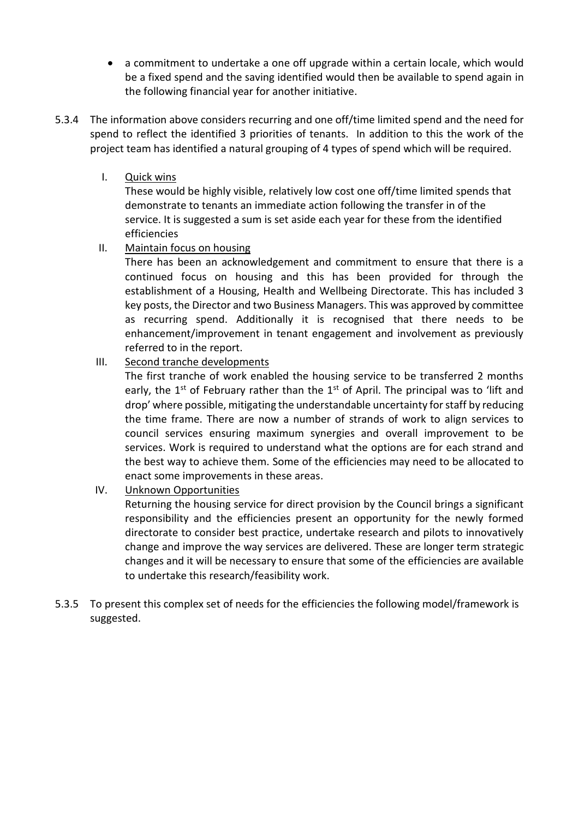- a commitment to undertake a one off upgrade within a certain locale, which would be a fixed spend and the saving identified would then be available to spend again in the following financial year for another initiative.
- 5.3.4 The information above considers recurring and one off/time limited spend and the need for spend to reflect the identified 3 priorities of tenants. In addition to this the work of the project team has identified a natural grouping of 4 types of spend which will be required.
	- I. Quick wins

These would be highly visible, relatively low cost one off/time limited spends that demonstrate to tenants an immediate action following the transfer in of the service. It is suggested a sum is set aside each year for these from the identified efficiencies

II. Maintain focus on housing

There has been an acknowledgement and commitment to ensure that there is a continued focus on housing and this has been provided for through the establishment of a Housing, Health and Wellbeing Directorate. This has included 3 key posts, the Director and two Business Managers. This was approved by committee as recurring spend. Additionally it is recognised that there needs to be enhancement/improvement in tenant engagement and involvement as previously referred to in the report.

III. Second tranche developments

The first tranche of work enabled the housing service to be transferred 2 months early, the  $1^{st}$  of February rather than the  $1^{st}$  of April. The principal was to 'lift and drop' where possible, mitigating the understandable uncertainty for staff by reducing the time frame. There are now a number of strands of work to align services to council services ensuring maximum synergies and overall improvement to be services. Work is required to understand what the options are for each strand and the best way to achieve them. Some of the efficiencies may need to be allocated to enact some improvements in these areas.

IV. Unknown Opportunities

Returning the housing service for direct provision by the Council brings a significant responsibility and the efficiencies present an opportunity for the newly formed directorate to consider best practice, undertake research and pilots to innovatively change and improve the way services are delivered. These are longer term strategic changes and it will be necessary to ensure that some of the efficiencies are available to undertake this research/feasibility work.

5.3.5 To present this complex set of needs for the efficiencies the following model/framework is suggested.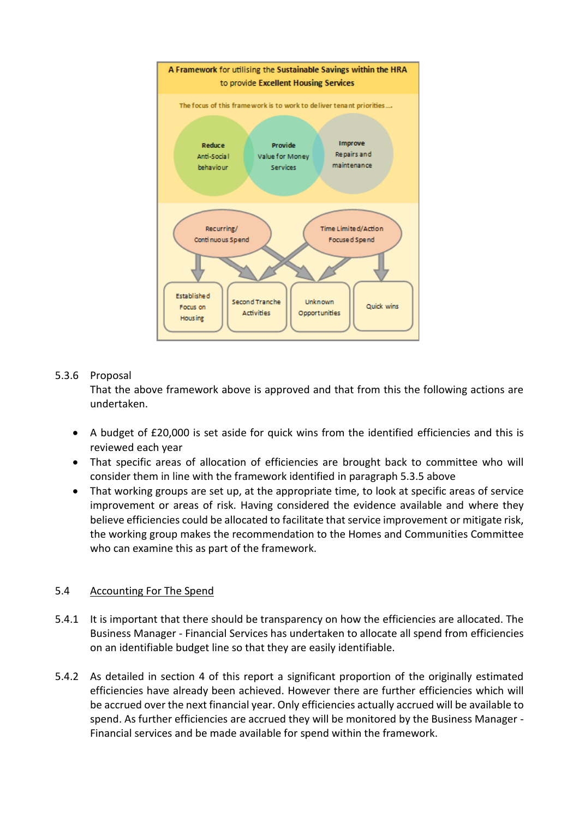

# 5.3.6 Proposal

That the above framework above is approved and that from this the following actions are undertaken.

- A budget of £20,000 is set aside for quick wins from the identified efficiencies and this is reviewed each year
- That specific areas of allocation of efficiencies are brought back to committee who will consider them in line with the framework identified in paragraph 5.3.5 above
- That working groups are set up, at the appropriate time, to look at specific areas of service improvement or areas of risk. Having considered the evidence available and where they believe efficiencies could be allocated to facilitate that service improvement or mitigate risk, the working group makes the recommendation to the Homes and Communities Committee who can examine this as part of the framework.

# 5.4 Accounting For The Spend

- 5.4.1 It is important that there should be transparency on how the efficiencies are allocated. The Business Manager - Financial Services has undertaken to allocate all spend from efficiencies on an identifiable budget line so that they are easily identifiable.
- 5.4.2 As detailed in section 4 of this report a significant proportion of the originally estimated efficiencies have already been achieved. However there are further efficiencies which will be accrued over the next financial year. Only efficiencies actually accrued will be available to spend. As further efficiencies are accrued they will be monitored by the Business Manager - Financial services and be made available for spend within the framework.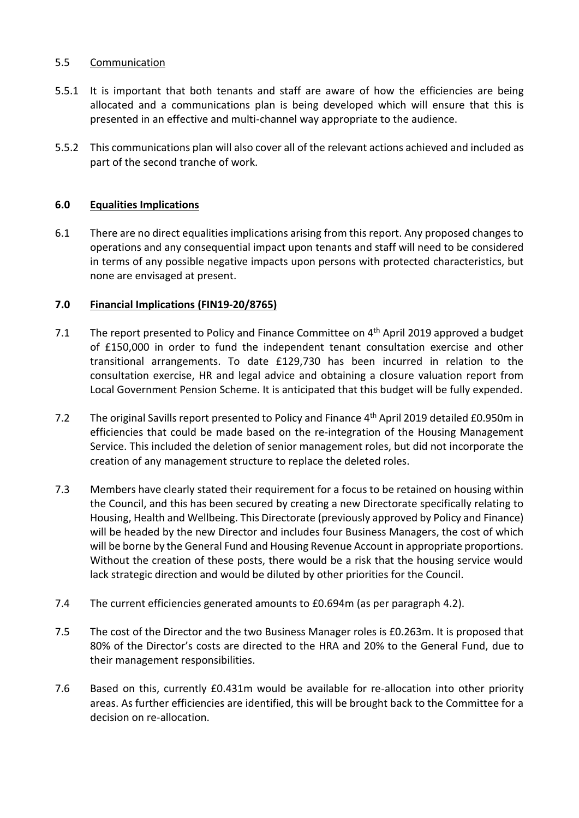### 5.5 Communication

- 5.5.1 It is important that both tenants and staff are aware of how the efficiencies are being allocated and a communications plan is being developed which will ensure that this is presented in an effective and multi-channel way appropriate to the audience.
- 5.5.2 This communications plan will also cover all of the relevant actions achieved and included as part of the second tranche of work.

# **6.0 Equalities Implications**

6.1 There are no direct equalities implications arising from this report. Any proposed changes to operations and any consequential impact upon tenants and staff will need to be considered in terms of any possible negative impacts upon persons with protected characteristics, but none are envisaged at present.

### **7.0 Financial Implications (FIN19-20/8765)**

- 7.1 The report presented to Policy and Finance Committee on 4<sup>th</sup> April 2019 approved a budget of £150,000 in order to fund the independent tenant consultation exercise and other transitional arrangements. To date £129,730 has been incurred in relation to the consultation exercise, HR and legal advice and obtaining a closure valuation report from Local Government Pension Scheme. It is anticipated that this budget will be fully expended.
- 7.2 The original Savills report presented to Policy and Finance 4<sup>th</sup> April 2019 detailed £0.950m in efficiencies that could be made based on the re-integration of the Housing Management Service. This included the deletion of senior management roles, but did not incorporate the creation of any management structure to replace the deleted roles.
- 7.3 Members have clearly stated their requirement for a focus to be retained on housing within the Council, and this has been secured by creating a new Directorate specifically relating to Housing, Health and Wellbeing. This Directorate (previously approved by Policy and Finance) will be headed by the new Director and includes four Business Managers, the cost of which will be borne by the General Fund and Housing Revenue Account in appropriate proportions. Without the creation of these posts, there would be a risk that the housing service would lack strategic direction and would be diluted by other priorities for the Council.
- 7.4 The current efficiencies generated amounts to £0.694m (as per paragraph 4.2).
- 7.5 The cost of the Director and the two Business Manager roles is £0.263m. It is proposed that 80% of the Director's costs are directed to the HRA and 20% to the General Fund, due to their management responsibilities.
- 7.6 Based on this, currently £0.431m would be available for re-allocation into other priority areas. As further efficiencies are identified, this will be brought back to the Committee for a decision on re-allocation.